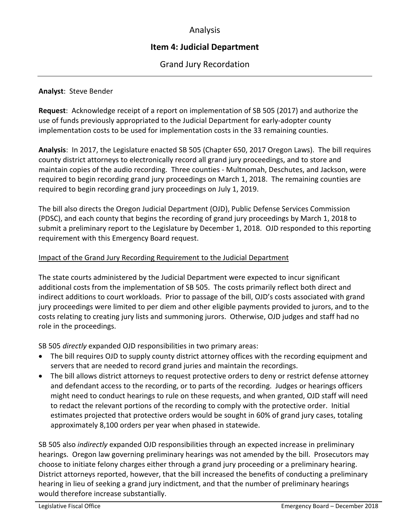# Analysis

# **Item 4: Judicial Department**

Grand Jury Recordation

# **Analyst**: Steve Bender

**Request**: Acknowledge receipt of a report on implementation of SB 505 (2017) and authorize the use of funds previously appropriated to the Judicial Department for early-adopter county implementation costs to be used for implementation costs in the 33 remaining counties.

**Analysis**: In 2017, the Legislature enacted SB 505 (Chapter 650, 2017 Oregon Laws). The bill requires county district attorneys to electronically record all grand jury proceedings, and to store and maintain copies of the audio recording. Three counties - Multnomah, Deschutes, and Jackson, were required to begin recording grand jury proceedings on March 1, 2018. The remaining counties are required to begin recording grand jury proceedings on July 1, 2019.

The bill also directs the Oregon Judicial Department (OJD), Public Defense Services Commission (PDSC), and each county that begins the recording of grand jury proceedings by March 1, 2018 to submit a preliminary report to the Legislature by December 1, 2018. OJD responded to this reporting requirement with this Emergency Board request.

# Impact of the Grand Jury Recording Requirement to the Judicial Department

The state courts administered by the Judicial Department were expected to incur significant additional costs from the implementation of SB 505. The costs primarily reflect both direct and indirect additions to court workloads. Prior to passage of the bill, OJD's costs associated with grand jury proceedings were limited to per diem and other eligible payments provided to jurors, and to the costs relating to creating jury lists and summoning jurors. Otherwise, OJD judges and staff had no role in the proceedings.

SB 505 *directly* expanded OJD responsibilities in two primary areas:

- The bill requires OJD to supply county district attorney offices with the recording equipment and servers that are needed to record grand juries and maintain the recordings.
- The bill allows district attorneys to request protective orders to deny or restrict defense attorney and defendant access to the recording, or to parts of the recording. Judges or hearings officers might need to conduct hearings to rule on these requests, and when granted, OJD staff will need to redact the relevant portions of the recording to comply with the protective order. Initial estimates projected that protective orders would be sought in 60% of grand jury cases, totaling approximately 8,100 orders per year when phased in statewide.

SB 505 also *indirectly* expanded OJD responsibilities through an expected increase in preliminary hearings. Oregon law governing preliminary hearings was not amended by the bill. Prosecutors may choose to initiate felony charges either through a grand jury proceeding or a preliminary hearing. District attorneys reported, however, that the bill increased the benefits of conducting a preliminary hearing in lieu of seeking a grand jury indictment, and that the number of preliminary hearings would therefore increase substantially.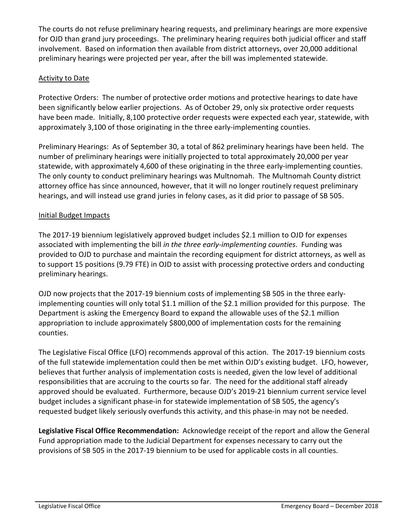The courts do not refuse preliminary hearing requests, and preliminary hearings are more expensive for OJD than grand jury proceedings. The preliminary hearing requires both judicial officer and staff involvement. Based on information then available from district attorneys, over 20,000 additional preliminary hearings were projected per year, after the bill was implemented statewide.

# Activity to Date

Protective Orders: The number of protective order motions and protective hearings to date have been significantly below earlier projections. As of October 29, only six protective order requests have been made. Initially, 8,100 protective order requests were expected each year, statewide, with approximately 3,100 of those originating in the three early-implementing counties.

Preliminary Hearings: As of September 30, a total of 862 preliminary hearings have been held. The number of preliminary hearings were initially projected to total approximately 20,000 per year statewide, with approximately 4,600 of these originating in the three early-implementing counties. The only county to conduct preliminary hearings was Multnomah. The Multnomah County district attorney office has since announced, however, that it will no longer routinely request preliminary hearings, and will instead use grand juries in felony cases, as it did prior to passage of SB 505.

# Initial Budget Impacts

The 2017-19 biennium legislatively approved budget includes \$2.1 million to OJD for expenses associated with implementing the bill *in the three early-implementing counties*. Funding was provided to OJD to purchase and maintain the recording equipment for district attorneys, as well as to support 15 positions (9.79 FTE) in OJD to assist with processing protective orders and conducting preliminary hearings.

OJD now projects that the 2017-19 biennium costs of implementing SB 505 in the three earlyimplementing counties will only total \$1.1 million of the \$2.1 million provided for this purpose. The Department is asking the Emergency Board to expand the allowable uses of the \$2.1 million appropriation to include approximately \$800,000 of implementation costs for the remaining counties.

The Legislative Fiscal Office (LFO) recommends approval of this action. The 2017-19 biennium costs of the full statewide implementation could then be met within OJD's existing budget. LFO, however, believes that further analysis of implementation costs is needed, given the low level of additional responsibilities that are accruing to the courts so far. The need for the additional staff already approved should be evaluated. Furthermore, because OJD's 2019-21 biennium current service level budget includes a significant phase-in for statewide implementation of SB 505, the agency's requested budget likely seriously overfunds this activity, and this phase-in may not be needed.

**Legislative Fiscal Office Recommendation:** Acknowledge receipt of the report and allow the General Fund appropriation made to the Judicial Department for expenses necessary to carry out the provisions of SB 505 in the 2017-19 biennium to be used for applicable costs in all counties.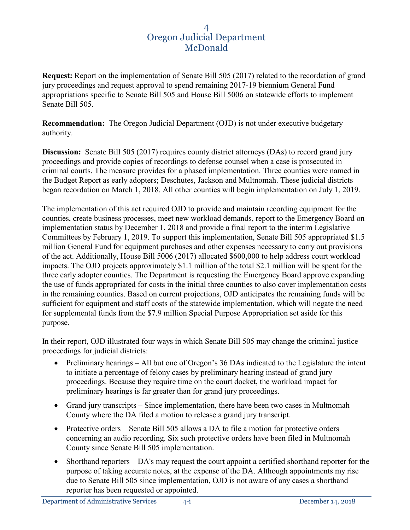**Request:** Report on the implementation of Senate Bill 505 (2017) related to the recordation of grand jury proceedings and request approval to spend remaining 2017-19 biennium General Fund appropriations specific to Senate Bill 505 and House Bill 5006 on statewide efforts to implement Senate Bill 505.

**Recommendation:** The Oregon Judicial Department (OJD) is not under executive budgetary authority.

**Discussion:** Senate Bill 505 (2017) requires county district attorneys (DAs) to record grand jury proceedings and provide copies of recordings to defense counsel when a case is prosecuted in criminal courts. The measure provides for a phased implementation. Three counties were named in the Budget Report as early adopters; Deschutes, Jackson and Multnomah. These judicial districts began recordation on March 1, 2018. All other counties will begin implementation on July 1, 2019.

The implementation of this act required OJD to provide and maintain recording equipment for the counties, create business processes, meet new workload demands, report to the Emergency Board on implementation status by December 1, 2018 and provide a final report to the interim Legislative Committees by February 1, 2019. To support this implementation, Senate Bill 505 appropriated \$1.5 million General Fund for equipment purchases and other expenses necessary to carry out provisions of the act. Additionally, House Bill 5006 (2017) allocated \$600,000 to help address court workload impacts. The OJD projects approximately \$1.1 million of the total \$2.1 million will be spent for the three early adopter counties. The Department is requesting the Emergency Board approve expanding the use of funds appropriated for costs in the initial three counties to also cover implementation costs in the remaining counties. Based on current projections, OJD anticipates the remaining funds will be sufficient for equipment and staff costs of the statewide implementation, which will negate the need for supplemental funds from the \$7.9 million Special Purpose Appropriation set aside for this purpose.

In their report, OJD illustrated four ways in which Senate Bill 505 may change the criminal justice proceedings for judicial districts:

- Preliminary hearings All but one of Oregon's 36 DAs indicated to the Legislature the intent to initiate a percentage of felony cases by preliminary hearing instead of grand jury proceedings. Because they require time on the court docket, the workload impact for preliminary hearings is far greater than for grand jury proceedings.
- Grand jury transcripts Since implementation, there have been two cases in Multnomah County where the DA filed a motion to release a grand jury transcript.
- Protective orders Senate Bill 505 allows a DA to file a motion for protective orders concerning an audio recording. Six such protective orders have been filed in Multnomah County since Senate Bill 505 implementation.
- Shorthand reporters DA's may request the court appoint a certified shorthand reporter for the purpose of taking accurate notes, at the expense of the DA. Although appointments my rise due to Senate Bill 505 since implementation, OJD is not aware of any cases a shorthand reporter has been requested or appointed.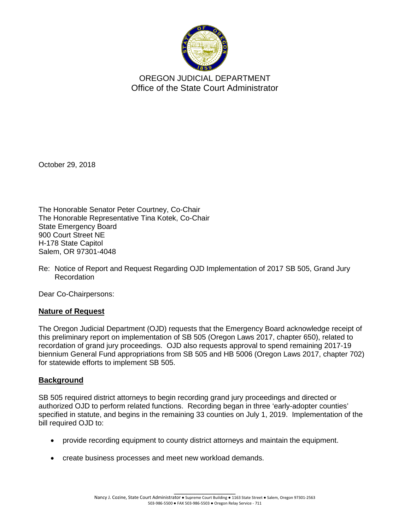

OREGON JUDICIAL DEPARTMENT Office of the State Court Administrator

October 29, 2018

The Honorable Senator Peter Courtney, Co-Chair The Honorable Representative Tina Kotek, Co-Chair State Emergency Board 900 Court Street NE H-178 State Capitol Salem, OR 97301-4048

Re: Notice of Report and Request Regarding OJD Implementation of 2017 SB 505, Grand Jury Recordation

Dear Co-Chairpersons:

# **Nature of Request**

The Oregon Judicial Department (OJD) requests that the Emergency Board acknowledge receipt of this preliminary report on implementation of SB 505 (Oregon Laws 2017, chapter 650), related to recordation of grand jury proceedings. OJD also requests approval to spend remaining 2017-19 biennium General Fund appropriations from SB 505 and HB 5006 (Oregon Laws 2017, chapter 702) for statewide efforts to implement SB 505.

# **Background**

SB 505 required district attorneys to begin recording grand jury proceedings and directed or authorized OJD to perform related functions. Recording began in three 'early-adopter counties' specified in statute, and begins in the remaining 33 counties on July 1, 2019. Implementation of the bill required OJD to:

- provide recording equipment to county district attorneys and maintain the equipment.
- create business processes and meet new workload demands.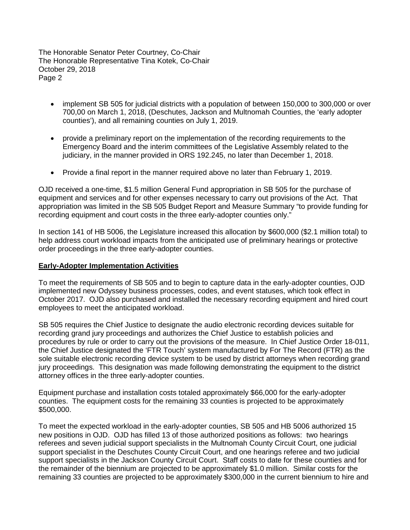- implement SB 505 for judicial districts with a population of between 150,000 to 300,000 or over 700,00 on March 1, 2018, (Deschutes, Jackson and Multnomah Counties, the 'early adopter counties'), and all remaining counties on July 1, 2019.
- provide a preliminary report on the implementation of the recording requirements to the Emergency Board and the interim committees of the Legislative Assembly related to the judiciary, in the manner provided in ORS 192.245, no later than December 1, 2018.
- Provide a final report in the manner required above no later than February 1, 2019.

OJD received a one-time, \$1.5 million General Fund appropriation in SB 505 for the purchase of equipment and services and for other expenses necessary to carry out provisions of the Act. That appropriation was limited in the SB 505 Budget Report and Measure Summary "to provide funding for recording equipment and court costs in the three early-adopter counties only."

In section 141 of HB 5006, the Legislature increased this allocation by \$600,000 (\$2.1 million total) to help address court workload impacts from the anticipated use of preliminary hearings or protective order proceedings in the three early-adopter counties.

#### **Early-Adopter Implementation Activities**

To meet the requirements of SB 505 and to begin to capture data in the early-adopter counties, OJD implemented new Odyssey business processes, codes, and event statuses, which took effect in October 2017. OJD also purchased and installed the necessary recording equipment and hired court employees to meet the anticipated workload.

SB 505 requires the Chief Justice to designate the audio electronic recording devices suitable for recording grand jury proceedings and authorizes the Chief Justice to establish policies and procedures by rule or order to carry out the provisions of the measure. In Chief Justice Order 18-011, the Chief Justice designated the 'FTR Touch' system manufactured by For The Record (FTR) as the sole suitable electronic recording device system to be used by district attorneys when recording grand jury proceedings. This designation was made following demonstrating the equipment to the district attorney offices in the three early-adopter counties.

Equipment purchase and installation costs totaled approximately \$66,000 for the early-adopter counties. The equipment costs for the remaining 33 counties is projected to be approximately \$500,000.

To meet the expected workload in the early-adopter counties, SB 505 and HB 5006 authorized 15 new positions in OJD. OJD has filled 13 of those authorized positions as follows: two hearings referees and seven judicial support specialists in the Multnomah County Circuit Court, one judicial support specialist in the Deschutes County Circuit Court, and one hearings referee and two judicial support specialists in the Jackson County Circuit Court. Staff costs to date for these counties and for the remainder of the biennium are projected to be approximately \$1.0 million. Similar costs for the remaining 33 counties are projected to be approximately \$300,000 in the current biennium to hire and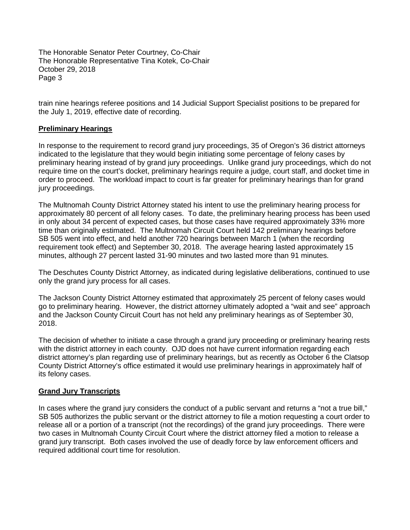train nine hearings referee positions and 14 Judicial Support Specialist positions to be prepared for the July 1, 2019, effective date of recording.

# **Preliminary Hearings**

In response to the requirement to record grand jury proceedings, 35 of Oregon's 36 district attorneys indicated to the legislature that they would begin initiating some percentage of felony cases by preliminary hearing instead of by grand jury proceedings. Unlike grand jury proceedings, which do not require time on the court's docket, preliminary hearings require a judge, court staff, and docket time in order to proceed. The workload impact to court is far greater for preliminary hearings than for grand jury proceedings.

The Multnomah County District Attorney stated his intent to use the preliminary hearing process for approximately 80 percent of all felony cases. To date, the preliminary hearing process has been used in only about 34 percent of expected cases, but those cases have required approximately 33% more time than originally estimated. The Multnomah Circuit Court held 142 preliminary hearings before SB 505 went into effect, and held another 720 hearings between March 1 (when the recording requirement took effect) and September 30, 2018. The average hearing lasted approximately 15 minutes, although 27 percent lasted 31-90 minutes and two lasted more than 91 minutes.

The Deschutes County District Attorney, as indicated during legislative deliberations, continued to use only the grand jury process for all cases.

The Jackson County District Attorney estimated that approximately 25 percent of felony cases would go to preliminary hearing. However, the district attorney ultimately adopted a "wait and see" approach and the Jackson County Circuit Court has not held any preliminary hearings as of September 30, 2018.

The decision of whether to initiate a case through a grand jury proceeding or preliminary hearing rests with the district attorney in each county. OJD does not have current information regarding each district attorney's plan regarding use of preliminary hearings, but as recently as October 6 the Clatsop County District Attorney's office estimated it would use preliminary hearings in approximately half of its felony cases.

# **Grand Jury Transcripts**

In cases where the grand jury considers the conduct of a public servant and returns a "not a true bill," SB 505 authorizes the public servant or the district attorney to file a motion requesting a court order to release all or a portion of a transcript (not the recordings) of the grand jury proceedings. There were two cases in Multnomah County Circuit Court where the district attorney filed a motion to release a grand jury transcript. Both cases involved the use of deadly force by law enforcement officers and required additional court time for resolution.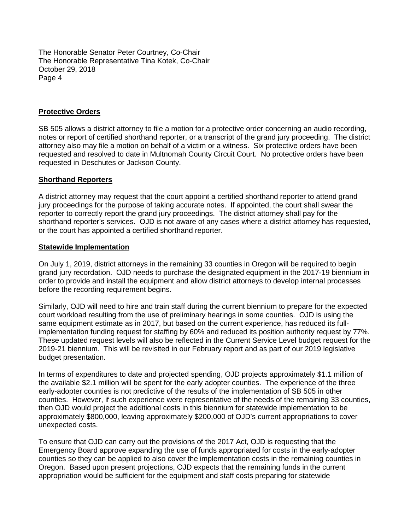### **Protective Orders**

SB 505 allows a district attorney to file a motion for a protective order concerning an audio recording, notes or report of certified shorthand reporter, or a transcript of the grand jury proceeding. The district attorney also may file a motion on behalf of a victim or a witness. Six protective orders have been requested and resolved to date in Multnomah County Circuit Court. No protective orders have been requested in Deschutes or Jackson County.

#### **Shorthand Reporters**

A district attorney may request that the court appoint a certified shorthand reporter to attend grand jury proceedings for the purpose of taking accurate notes. If appointed, the court shall swear the reporter to correctly report the grand jury proceedings. The district attorney shall pay for the shorthand reporter's services. OJD is not aware of any cases where a district attorney has requested, or the court has appointed a certified shorthand reporter.

#### **Statewide Implementation**

On July 1, 2019, district attorneys in the remaining 33 counties in Oregon will be required to begin grand jury recordation. OJD needs to purchase the designated equipment in the 2017-19 biennium in order to provide and install the equipment and allow district attorneys to develop internal processes before the recording requirement begins.

Similarly, OJD will need to hire and train staff during the current biennium to prepare for the expected court workload resulting from the use of preliminary hearings in some counties. OJD is using the same equipment estimate as in 2017, but based on the current experience, has reduced its fullimplementation funding request for staffing by 60% and reduced its position authority request by 77%. These updated request levels will also be reflected in the Current Service Level budget request for the 2019-21 biennium. This will be revisited in our February report and as part of our 2019 legislative budget presentation.

In terms of expenditures to date and projected spending, OJD projects approximately \$1.1 million of the available \$2.1 million will be spent for the early adopter counties. The experience of the three early-adopter counties is not predictive of the results of the implementation of SB 505 in other counties. However, if such experience were representative of the needs of the remaining 33 counties, then OJD would project the additional costs in this biennium for statewide implementation to be approximately \$800,000, leaving approximately \$200,000 of OJD's current appropriations to cover unexpected costs.

To ensure that OJD can carry out the provisions of the 2017 Act, OJD is requesting that the Emergency Board approve expanding the use of funds appropriated for costs in the early-adopter counties so they can be applied to also cover the implementation costs in the remaining counties in Oregon. Based upon present projections, OJD expects that the remaining funds in the current appropriation would be sufficient for the equipment and staff costs preparing for statewide